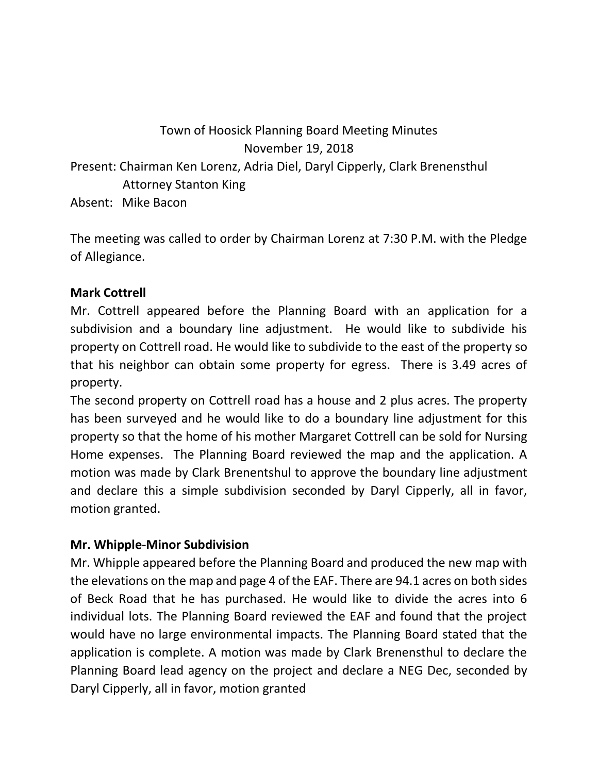## Town of Hoosick Planning Board Meeting Minutes November 19, 2018 Present: Chairman Ken Lorenz, Adria Diel, Daryl Cipperly, Clark Brenensthul Attorney Stanton King Absent: Mike Bacon

The meeting was called to order by Chairman Lorenz at 7:30 P.M. with the Pledge of Allegiance.

## **Mark Cottrell**

Mr. Cottrell appeared before the Planning Board with an application for a subdivision and a boundary line adjustment. He would like to subdivide his property on Cottrell road. He would like to subdivide to the east of the property so that his neighbor can obtain some property for egress. There is 3.49 acres of property.

The second property on Cottrell road has a house and 2 plus acres. The property has been surveyed and he would like to do a boundary line adjustment for this property so that the home of his mother Margaret Cottrell can be sold for Nursing Home expenses. The Planning Board reviewed the map and the application. A motion was made by Clark Brenentshul to approve the boundary line adjustment and declare this a simple subdivision seconded by Daryl Cipperly, all in favor, motion granted.

## **Mr. Whipple-Minor Subdivision**

Mr. Whipple appeared before the Planning Board and produced the new map with the elevations on the map and page 4 of the EAF. There are 94.1 acres on both sides of Beck Road that he has purchased. He would like to divide the acres into 6 individual lots. The Planning Board reviewed the EAF and found that the project would have no large environmental impacts. The Planning Board stated that the application is complete. A motion was made by Clark Brenensthul to declare the Planning Board lead agency on the project and declare a NEG Dec, seconded by Daryl Cipperly, all in favor, motion granted